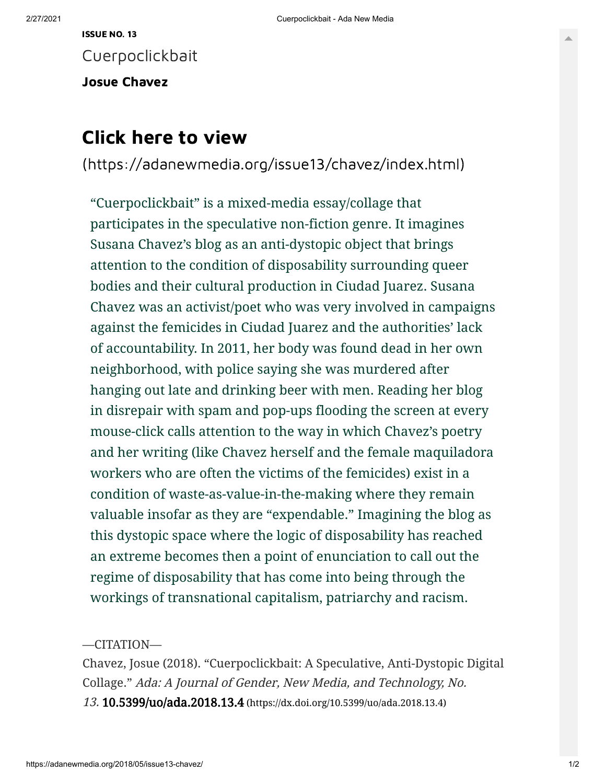Cuerpoclickbait

Josue [Chavez](https://adanewmedia.org/author/josuechavez)

## Click here to view

[\(https://adanewmedia.org/issue13/chavez/index.html\)](https://adanewmedia.org/issue13/chavez/index.html)

"Cuerpoclickbait" is a mixed-media essay/collage that participates in the speculative non-fiction genre. It imagines Susana Chavez's blog as an anti-dystopic object that brings attention to the condition of disposability surrounding queer bodies and their cultural production in Ciudad Juarez. Susana Chavez was an activist/poet who was very involved in campaigns against the femicides in Ciudad Juarez and the authorities' lack of accountability. In 2011, her body was found dead in her own neighborhood, with police saying she was murdered after hanging out late and drinking beer with men. Reading her blog in disrepair with spam and pop-ups flooding the screen at every mouse-click calls attention to the way in which Chavez's poetry and her writing (like Chavez herself and the female maquiladora workers who are often the victims of the femicides) exist in a condition of waste-as-value-in-the-making where they remain valuable insofar as they are "expendable." Imagining the blog as this dystopic space where the logic of disposability has reached an extreme becomes then a point of enunciation to call out the regime of disposability that has come into being through the workings of transnational capitalism, patriarchy and racism.

—CITATION—

Chavez, Josue (2018). "Cuerpoclickbait: A Speculative, Anti-Dystopic Digital Collage." Ada: A Journal of Gender, New Media, and Technology, No. 13. 10.5399/uo/ada.2018.13.4 [\(https://dx.doi.org/10.5399/uo/ada.2018.13.4\)](https://dx.doi.org/10.5399/uo/ada.2018.13.4)